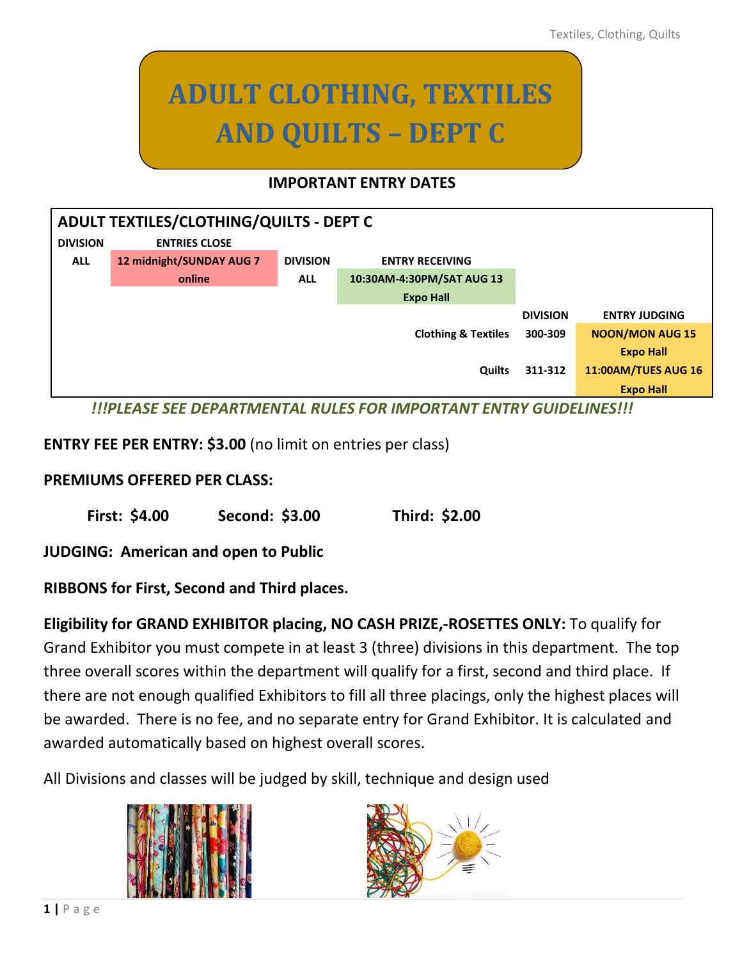# **ADULT CLOTHING, TEXTILES AND QUILTS – DEPT C**

#### **IMPORTANT ENTRY DATES**

| ADULT TEXTILES/CLOTHING/QUILTS - DEPT C |                          |                 |                                |                 |                            |
|-----------------------------------------|--------------------------|-----------------|--------------------------------|-----------------|----------------------------|
| <b>DIVISION</b>                         | <b>ENTRIES CLOSE</b>     |                 |                                |                 |                            |
| <b>ALL</b>                              | 12 midnight/SUNDAY AUG 7 | <b>DIVISION</b> | <b>ENTRY RECEIVING</b>         |                 |                            |
|                                         | online                   | <b>ALL</b>      | 10:30AM-4:30PM/SAT AUG 13      |                 |                            |
|                                         |                          |                 | <b>Expo Hall</b>               |                 |                            |
|                                         |                          |                 |                                | <b>DIVISION</b> | <b>ENTRY JUDGING</b>       |
|                                         |                          |                 | <b>Clothing &amp; Textiles</b> | 300-309         | <b>NOON/MON AUG 15</b>     |
|                                         |                          |                 |                                |                 | <b>Expo Hall</b>           |
|                                         |                          |                 | <b>Quilts</b>                  | 311-312         | <b>11:00AM/TUES AUG 16</b> |
|                                         |                          |                 |                                |                 | <b>Expo Hall</b>           |
| 1118100000000<br>A                      |                          |                 |                                |                 |                            |

*!!!PLEASE SEE DEPARTMENTAL RULES FOR IMPORTANT ENTRY GUIDELINES!!!*

#### **ENTRY FEE PER ENTRY: \$3.00** (no limit on entries per class)

#### **PREMIUMS OFFERED PER CLASS:**

**First: \$4.00 Second: \$3.00 Third: \$2.00**

**JUDGING: American and open to Public**

**RIBBONS for First, Second and Third places.** 

**Eligibility for GRAND EXHIBITOR placing, NO CASH PRIZE,-ROSETTES ONLY:** To qualify for Grand Exhibitor you must compete in at least 3 (three) divisions in this department. The top three overall scores within the department will qualify for a first, second and third place. If there are not enough qualified Exhibitors to fill all three placings, only the highest places will be awarded. There is no fee, and no separate entry for Grand Exhibitor. It is calculated and awarded automatically based on highest overall scores.

All Divisions and classes will be judged by skill, technique and design used



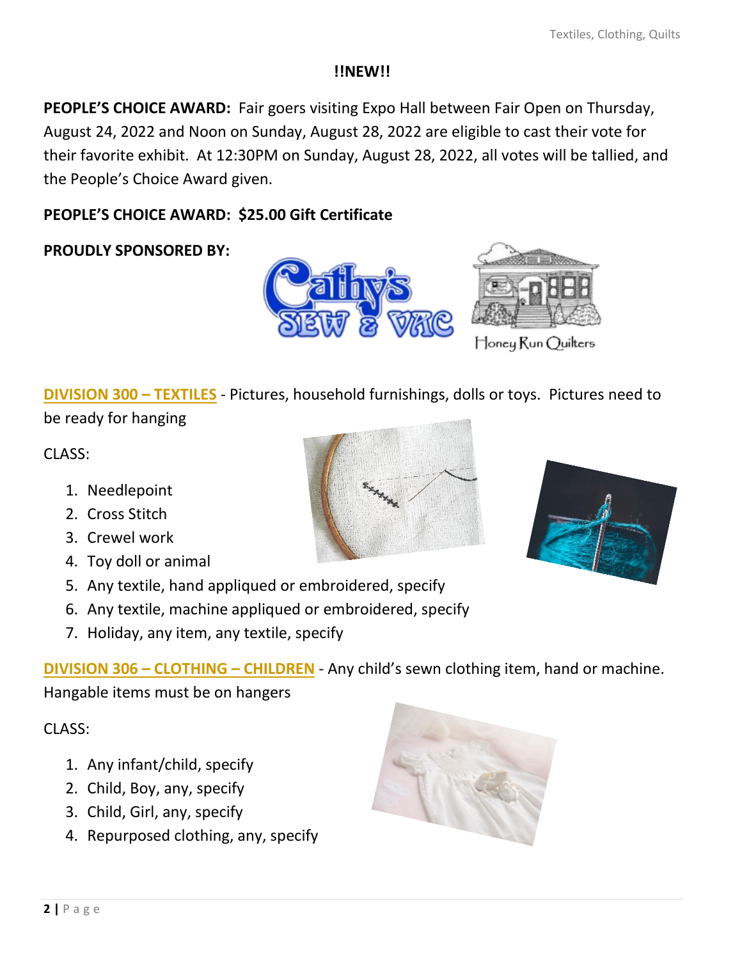#### **!!NEW!!**

**PEOPLE'S CHOICE AWARD:** Fair goers visiting Expo Hall between Fair Open on Thursday, August 24, 2022 and Noon on Sunday, August 28, 2022 are eligible to cast their vote for their favorite exhibit. At 12:30PM on Sunday, August 28, 2022, all votes will be tallied, and the People's Choice Award given.

## **PEOPLE'S CHOICE AWARD: \$25.00 Gift Certificate**

**PROUDLY SPONSORED BY:** 





Honey Run Quilters

**DIVISION 300 – TEXTILES** - Pictures, household furnishings, dolls or toys. Pictures need to

be ready for hanging

CLASS:

- 1. Needlepoint
- 2. Cross Stitch
- 3. Crewel work
- 4. Toy doll or animal
- 5. Any textile, hand appliqued or embroidered, specify
- 6. Any textile, machine appliqued or embroidered, specify
- 7. Holiday, any item, any textile, specify

**DIVISION 306 – CLOTHING – CHILDREN** - Any child's sewn clothing item, hand or machine. Hangable items must be on hangers

 $CI ASS:$ 

- 1. Any infant/child, specify
- 2. Child, Boy, any, specify
- 3. Child, Girl, any, specify
- 4. Repurposed clothing, any, specify



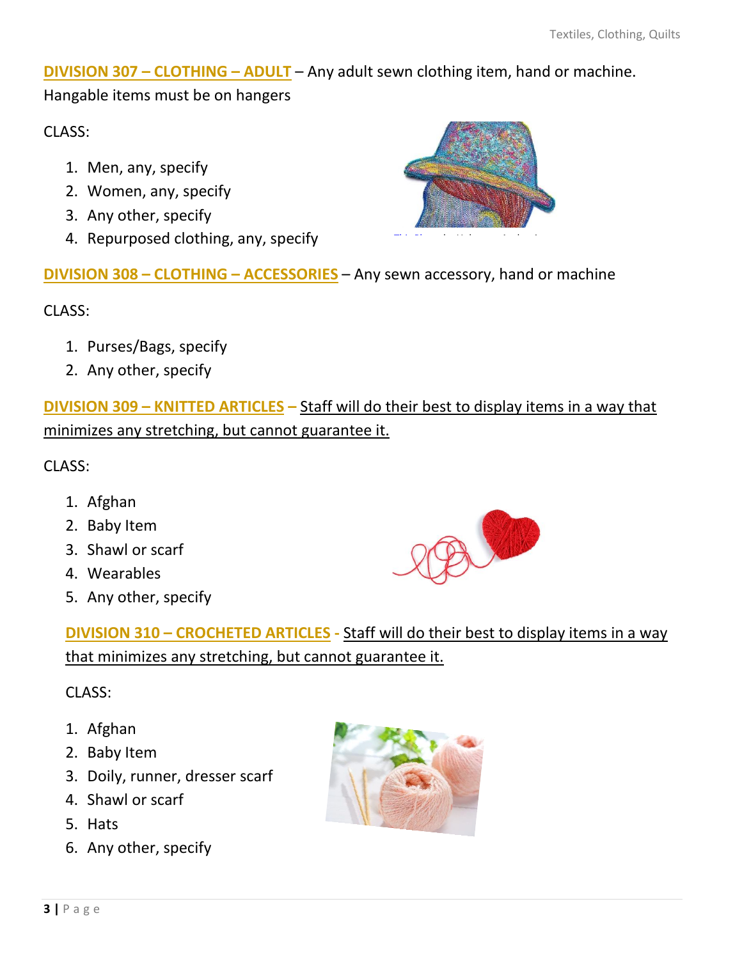**DIVISION 307 – CLOTHING – ADULT** – Any adult sewn clothing item, hand or machine. Hangable items must be on hangers

CLASS:

- 1. Men, any, specify
- 2. Women, any, specify
- 3. Any other, specify
- 4. Repurposed clothing, any, specify



**DIVISION 308 – CLOTHING – ACCESSORIES** – Any sewn acce[ssory, han](https://creativecommons.org/licenses/by-nc-nd/3.0/)d or machine

CLASS:

- 1. Purses/Bags, specify
- 2. Any other, specify

**DIVISION 309 – KNITTED ARTICLES –** Staff will do their best to display items in a way that minimizes any stretching, but cannot guarantee it.

CLASS:

- 1. Afghan
- 2. Baby Item
- 3. Shawl or scarf
- 4. Wearables
- 5. Any other, specify



**DIVISION 310 – CROCHETED ARTICLES -** Staff will do their best to display items in a way that minimizes any stretching, but cannot guarantee it.

## CLASS:

- 1. Afghan
- 2. Baby Item
- 3. Doily, runner, dresser scarf
- 4. Shawl or scarf
- 5. Hats
- 6. Any other, specify